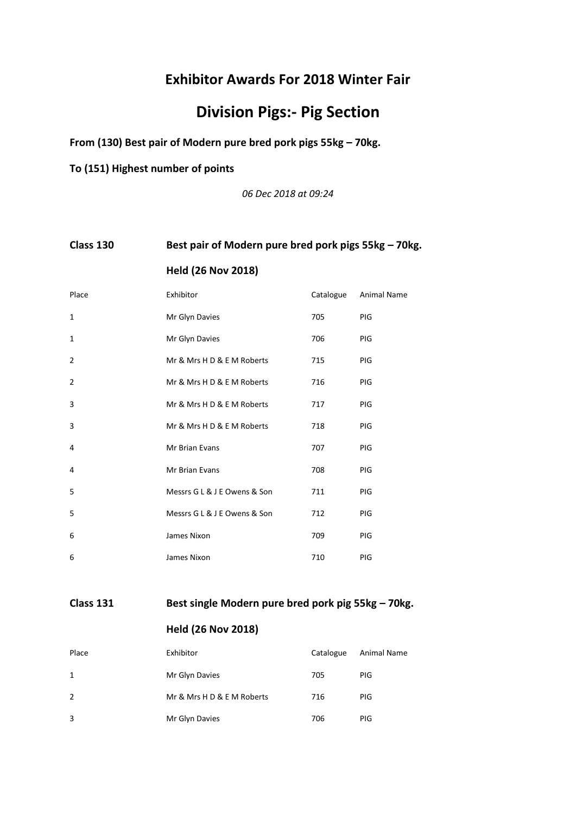## **Exhibitor Awards For 2018 Winter Fair**

# **Division Pigs:- Pig Section**

**From (130) Best pair of Modern pure bred pork pigs 55kg – 70kg.**

**To (151) Highest number of points**

*06 Dec 2018 at 09:24*

## **Class 130 Best pair of Modern pure bred pork pigs 55kg – 70kg.**

|  | <b>Held (26 Nov 2018)</b> |
|--|---------------------------|
|--|---------------------------|

| Place          | Exhibitor                    | Catalogue | <b>Animal Name</b> |
|----------------|------------------------------|-----------|--------------------|
| $\mathbf{1}$   | Mr Glyn Davies               | 705       | PIG                |
| $\mathbf{1}$   | Mr Glyn Davies               | 706       | PIG                |
| $\overline{2}$ | Mr & Mrs H D & E M Roberts   | 715       | PIG                |
| $\overline{2}$ | Mr & Mrs H D & E M Roberts   | 716       | PIG                |
| 3              | Mr & Mrs H D & E M Roberts   | 717       | PIG                |
| 3              | Mr & Mrs H D & E M Roberts   | 718       | PIG                |
| 4              | <b>Mr Brian Evans</b>        | 707       | PIG                |
| 4              | Mr Brian Evans               | 708       | PIG                |
| 5              | Messrs G L & J E Owens & Son | 711       | PIG                |
| 5              | Messrs G L & J E Owens & Son | 712       | PIG                |
| 6              | James Nixon                  | 709       | PIG                |
| 6              | James Nixon                  | 710       | PIG                |

### **Class 131 Best single Modern pure bred pork pig 55kg – 70kg.**

| Place | Exhibitor                  | Catalogue | Animal Name |
|-------|----------------------------|-----------|-------------|
| 1     | Mr Glyn Davies             | 705       | <b>PIG</b>  |
| 2     | Mr & Mrs H D & E M Roberts | 716       | <b>PIG</b>  |
| 3     | Mr Glyn Davies             | 706       | PIG         |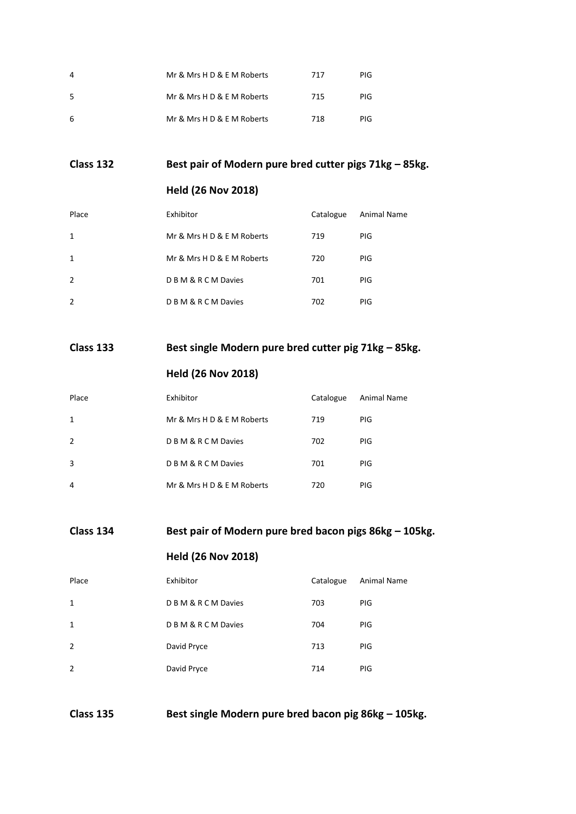| 4  | Mr & Mrs H D & E M Roberts | 717 | PIG |
|----|----------------------------|-----|-----|
| 5  | Mr & Mrs H D & E M Roberts | 715 | PIG |
| -6 | Mr & Mrs H D & E M Roberts | 718 | PIG |

**Class 132 Best pair of Modern pure bred cutter pigs 71kg – 85kg.**

#### **Held (26 Nov 2018)**

| Place          | Exhibitor                  | Catalogue | Animal Name |
|----------------|----------------------------|-----------|-------------|
| 1              | Mr & Mrs H D & E M Roberts | 719       | PIG.        |
| 1              | Mr & Mrs H D & E M Roberts | 720       | <b>PIG</b>  |
| $\overline{2}$ | D B M & R C M Davies       | 701       | <b>PIG</b>  |
| 2              | <b>DBM&amp;RCMDavies</b>   | 702       | <b>PIG</b>  |

## **Class 133 Best single Modern pure bred cutter pig 71kg – 85kg.**

## **Held (26 Nov 2018)**

| Place | Exhibitor                  | Catalogue | Animal Name |
|-------|----------------------------|-----------|-------------|
| 1     | Mr & Mrs H D & E M Roberts | 719       | PIG         |
| 2     | <b>DBM&amp;RCMDavies</b>   | 702       | PIG         |
| 3     | <b>DBM&amp;RCMDavies</b>   | 701       | PIG         |
| 4     | Mr & Mrs H D & E M Roberts | 720       | PIG         |

## **Class 134 Best pair of Modern pure bred bacon pigs 86kg – 105kg.**

## **Held (26 Nov 2018)**

| Place          | Exhibitor            | Catalogue | Animal Name |
|----------------|----------------------|-----------|-------------|
| $\mathbf{1}$   | D B M & R C M Davies | 703       | <b>PIG</b>  |
| 1              | D B M & R C M Davies | 704       | <b>PIG</b>  |
| $\overline{2}$ | David Pryce          | 713       | <b>PIG</b>  |
| $\overline{2}$ | David Pryce          | 714       | PIG         |

**Class 135 Best single Modern pure bred bacon pig 86kg – 105kg.**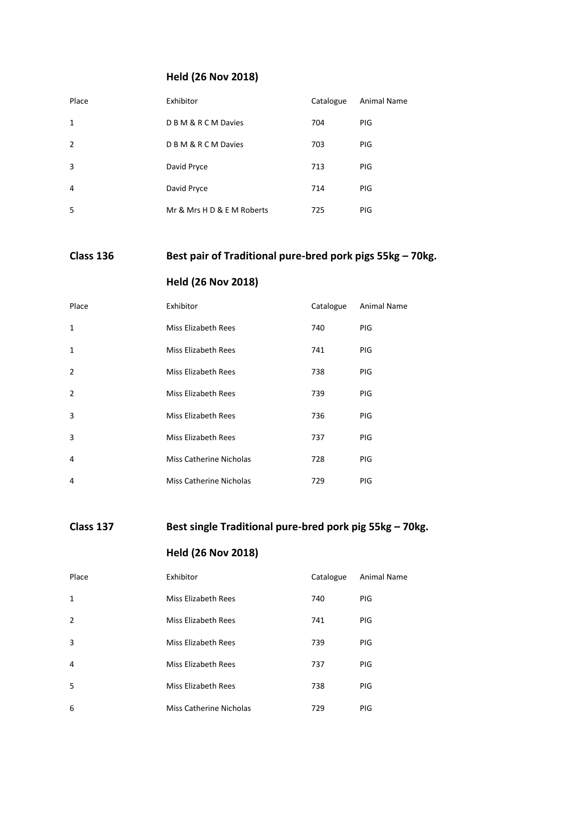## **Held (26 Nov 2018)**

| Place          | Exhibitor                  | Catalogue | <b>Animal Name</b> |
|----------------|----------------------------|-----------|--------------------|
| 1              | D B M & R C M Davies       | 704       | <b>PIG</b>         |
| $\overline{2}$ | D B M & R C M Davies       | 703       | <b>PIG</b>         |
| 3              | David Pryce                | 713       | <b>PIG</b>         |
| 4              | David Pryce                | 714       | <b>PIG</b>         |
| 5              | Mr & Mrs H D & E M Roberts | 725       | <b>PIG</b>         |

## **Class 136 Best pair of Traditional pure-bred pork pigs 55kg – 70kg.**

## **Held (26 Nov 2018)**

| Place          | Exhibitor                      | Catalogue | <b>Animal Name</b> |
|----------------|--------------------------------|-----------|--------------------|
| $\mathbf{1}$   | Miss Elizabeth Rees            | 740       | <b>PIG</b>         |
| $\mathbf{1}$   | Miss Elizabeth Rees            | 741       | <b>PIG</b>         |
| $\overline{2}$ | Miss Elizabeth Rees            | 738       | <b>PIG</b>         |
| $\overline{2}$ | Miss Elizabeth Rees            | 739       | <b>PIG</b>         |
| 3              | Miss Elizabeth Rees            | 736       | <b>PIG</b>         |
| 3              | Miss Elizabeth Rees            | 737       | <b>PIG</b>         |
| 4              | Miss Catherine Nicholas        | 728       | <b>PIG</b>         |
| 4              | <b>Miss Catherine Nicholas</b> | 729       | <b>PIG</b>         |

## **Class 137 Best single Traditional pure-bred pork pig 55kg – 70kg.**

| Place          | Exhibitor               | Catalogue | <b>Animal Name</b> |
|----------------|-------------------------|-----------|--------------------|
| 1              | Miss Elizabeth Rees     | 740       | <b>PIG</b>         |
| $\overline{2}$ | Miss Elizabeth Rees     | 741       | <b>PIG</b>         |
| 3              | Miss Elizabeth Rees     | 739       | <b>PIG</b>         |
| 4              | Miss Elizabeth Rees     | 737       | <b>PIG</b>         |
| 5              | Miss Elizabeth Rees     | 738       | <b>PIG</b>         |
| 6              | Miss Catherine Nicholas | 729       | <b>PIG</b>         |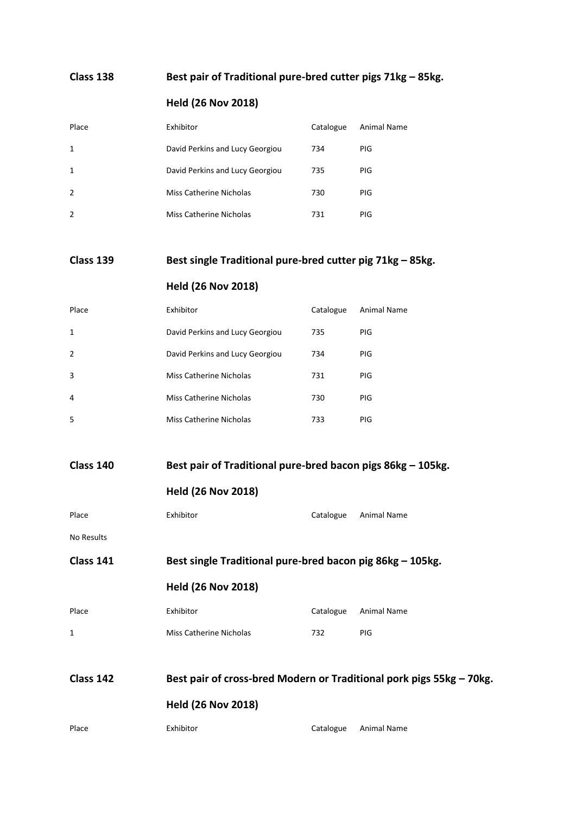#### **Class 138 Best pair of Traditional pure-bred cutter pigs 71kg – 85kg.**

#### **Held (26 Nov 2018)**

| Place        | Exhibitor                       | Catalogue | Animal Name |
|--------------|---------------------------------|-----------|-------------|
| $\mathbf{1}$ | David Perkins and Lucy Georgiou | 734       | <b>PIG</b>  |
| $\mathbf{1}$ | David Perkins and Lucy Georgiou | 735       | <b>PIG</b>  |
| 2            | Miss Catherine Nicholas         | 730       | <b>PIG</b>  |
| 2            | Miss Catherine Nicholas         | 731       | PIG.        |

#### **Class 139 Best single Traditional pure-bred cutter pig 71kg – 85kg.**

#### **Held (26 Nov 2018)**

| Place | Exhibitor                       | Catalogue | Animal Name |
|-------|---------------------------------|-----------|-------------|
| 1     | David Perkins and Lucy Georgiou | 735       | PIG         |
| 2     | David Perkins and Lucy Georgiou | 734       | <b>PIG</b>  |
| 3     | Miss Catherine Nicholas         | 731       | PIG         |
| 4     | Miss Catherine Nicholas         | 730       | <b>PIG</b>  |
| .5    | Miss Catherine Nicholas         | 733       | PIG         |

#### **Class 140 Best pair of Traditional pure-bred bacon pigs 86kg – 105kg.**

|  |  |  | <b>Held (26 Nov 2018)</b> |
|--|--|--|---------------------------|
|--|--|--|---------------------------|

| Exhibitor<br>Place<br>Catalogue Animal Name |
|---------------------------------------------|
|---------------------------------------------|

No Results

**Class 141 Best single Traditional pure-bred bacon pig 86kg – 105kg.**

#### **Held (26 Nov 2018)**

| Place | Exhibitor               |     | Catalogue Animal Name |
|-------|-------------------------|-----|-----------------------|
|       | Miss Catherine Nicholas | 732 | PIG.                  |

# **Class 142 Best pair of cross-bred Modern or Traditional pork pigs 55kg – 70kg.**

| Place | Exhibitor | Catalogue | Animal Name |
|-------|-----------|-----------|-------------|
|       |           |           |             |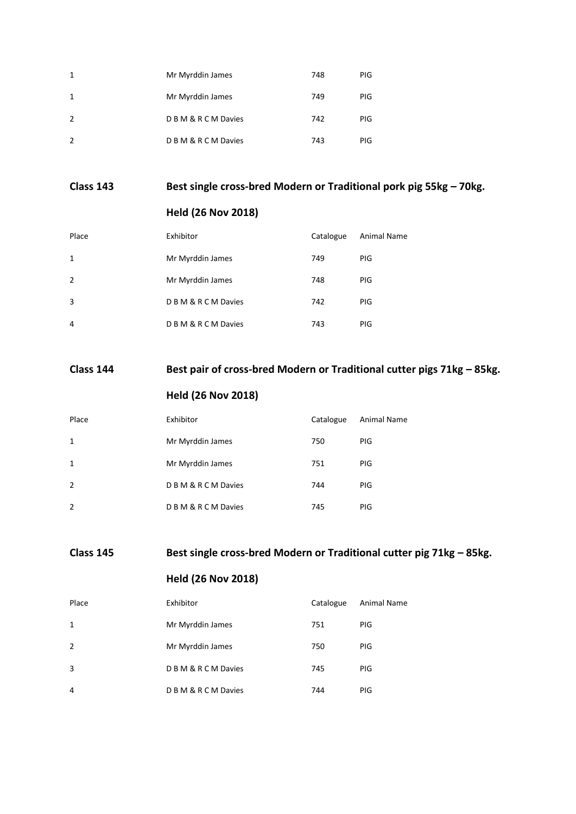| 1              | Mr Myrddin James         | 748 | PIG        |
|----------------|--------------------------|-----|------------|
| 1              | Mr Myrddin James         | 749 | <b>PIG</b> |
| $\overline{2}$ | <b>DBM&amp;RCMDavies</b> | 742 | <b>PIG</b> |
| $\overline{2}$ | D B M & R C M Davies     | 743 | PIG        |

## **Class 143 Best single cross-bred Modern or Traditional pork pig 55kg – 70kg.**

#### **Held (26 Nov 2018)**

| Place          | Exhibitor            | Catalogue | <b>Animal Name</b> |
|----------------|----------------------|-----------|--------------------|
| 1              | Mr Myrddin James     | 749       | <b>PIG</b>         |
| $\overline{2}$ | Mr Myrddin James     | 748       | <b>PIG</b>         |
| 3              | D B M & R C M Davies | 742       | <b>PIG</b>         |
| 4              | D B M & R C M Davies | 743       | PIG                |

## **Class 144 Best pair of cross-bred Modern or Traditional cutter pigs 71kg – 85kg.**

## **Held (26 Nov 2018)**

| Place          | Exhibitor            | Catalogue | Animal Name |
|----------------|----------------------|-----------|-------------|
| 1              | Mr Myrddin James     | 750       | PIG         |
| $\mathbf{1}$   | Mr Myrddin James     | 751       | PIG         |
| 2              | D B M & R C M Davies | 744       | PIG         |
| $\overline{2}$ | D B M & R C M Davies | 745       | PIG         |

**Class 145 Best single cross-bred Modern or Traditional cutter pig 71kg – 85kg.**

| Place          | Exhibitor            | Catalogue | <b>Animal Name</b> |
|----------------|----------------------|-----------|--------------------|
| $\mathbf{1}$   | Mr Myrddin James     | 751       | <b>PIG</b>         |
| $\overline{2}$ | Mr Myrddin James     | 750       | <b>PIG</b>         |
| 3              | D B M & R C M Davies | 745       | <b>PIG</b>         |
| $\overline{4}$ | D B M & R C M Davies | 744       | PIG                |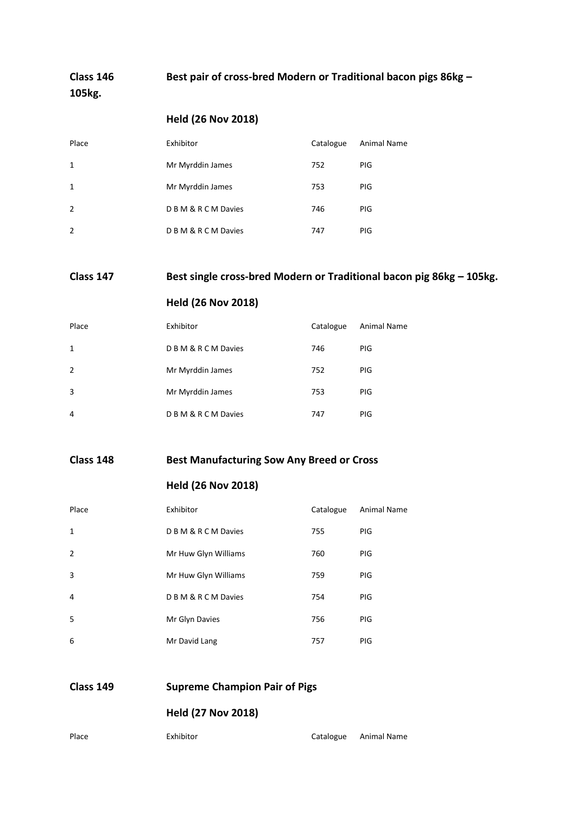**Class 146 Best pair of cross-bred Modern or Traditional bacon pigs 86kg – 105kg.**

## **Held (26 Nov 2018)**

| Place          | Exhibitor            | Catalogue | <b>Animal Name</b> |
|----------------|----------------------|-----------|--------------------|
| 1              | Mr Myrddin James     | 752       | PIG                |
| 1              | Mr Myrddin James     | 753       | <b>PIG</b>         |
| $\overline{2}$ | D B M & R C M Davies | 746       | <b>PIG</b>         |
| $\overline{2}$ | D B M & R C M Davies | 747       | PIG                |

## **Class 147 Best single cross-bred Modern or Traditional bacon pig 86kg – 105kg.**

### **Held (26 Nov 2018)**

| Place          | Exhibitor            | Catalogue | <b>Animal Name</b> |
|----------------|----------------------|-----------|--------------------|
| $\mathbf{1}$   | D B M & R C M Davies | 746       | <b>PIG</b>         |
| $\overline{2}$ | Mr Myrddin James     | 752       | <b>PIG</b>         |
| 3              | Mr Myrddin James     | 753       | <b>PIG</b>         |
| 4              | D B M & R C M Davies | 747       | <b>PIG</b>         |
|                |                      |           |                    |

#### **Class 148 Best Manufacturing Sow Any Breed or Cross**

#### **Held (26 Nov 2018)**

| Place          | Exhibitor            | Catalogue | <b>Animal Name</b> |
|----------------|----------------------|-----------|--------------------|
| $\mathbf{1}$   | D B M & R C M Davies | 755       | <b>PIG</b>         |
| $\overline{2}$ | Mr Huw Glyn Williams | 760       | <b>PIG</b>         |
| 3              | Mr Huw Glyn Williams | 759       | <b>PIG</b>         |
| 4              | D B M & R C M Davies | 754       | <b>PIG</b>         |
| 5              | Mr Glyn Davies       | 756       | <b>PIG</b>         |
| 6              | Mr David Lang        | 757       | PIG                |

| Class 149 | <b>Supreme Champion Pair of Pigs</b> |  |
|-----------|--------------------------------------|--|
|           | . . <b>. . <i>.</i> .</b>            |  |

| Place<br>Exhibitor |  | Catalogue Animal Name |
|--------------------|--|-----------------------|
|--------------------|--|-----------------------|